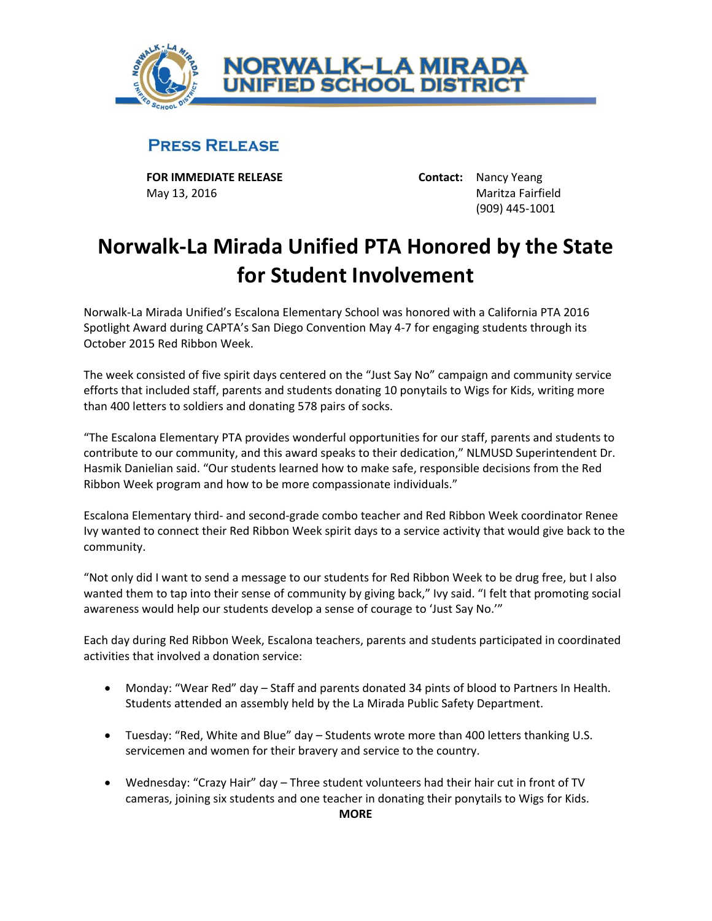

## **PRESS RELEASE**

**FOR IMMEDIATE RELEASE Contact:** Nancy Yeang May 13, 2016 Maritza Fairfield

(909) 445-1001

## **Norwalk-La Mirada Unified PTA Honored by the State for Student Involvement**

Norwalk-La Mirada Unified's Escalona Elementary School was honored with a California PTA 2016 Spotlight Award during CAPTA's San Diego Convention May 4-7 for engaging students through its October 2015 Red Ribbon Week.

The week consisted of five spirit days centered on the "Just Say No" campaign and community service efforts that included staff, parents and students donating 10 ponytails to Wigs for Kids, writing more than 400 letters to soldiers and donating 578 pairs of socks.

"The Escalona Elementary PTA provides wonderful opportunities for our staff, parents and students to contribute to our community, and this award speaks to their dedication," NLMUSD Superintendent Dr. Hasmik Danielian said. "Our students learned how to make safe, responsible decisions from the Red Ribbon Week program and how to be more compassionate individuals."

Escalona Elementary third- and second-grade combo teacher and Red Ribbon Week coordinator Renee Ivy wanted to connect their Red Ribbon Week spirit days to a service activity that would give back to the community.

"Not only did I want to send a message to our students for Red Ribbon Week to be drug free, but I also wanted them to tap into their sense of community by giving back," Ivy said. "I felt that promoting social awareness would help our students develop a sense of courage to 'Just Say No.'"

Each day during Red Ribbon Week, Escalona teachers, parents and students participated in coordinated activities that involved a donation service:

- Monday: "Wear Red" day Staff and parents donated 34 pints of blood to Partners In Health. Students attended an assembly held by the La Mirada Public Safety Department.
- Tuesday: "Red, White and Blue" day Students wrote more than 400 letters thanking U.S. servicemen and women for their bravery and service to the country.
- Wednesday: "Crazy Hair" day Three student volunteers had their hair cut in front of TV cameras, joining six students and one teacher in donating their ponytails to Wigs for Kids.